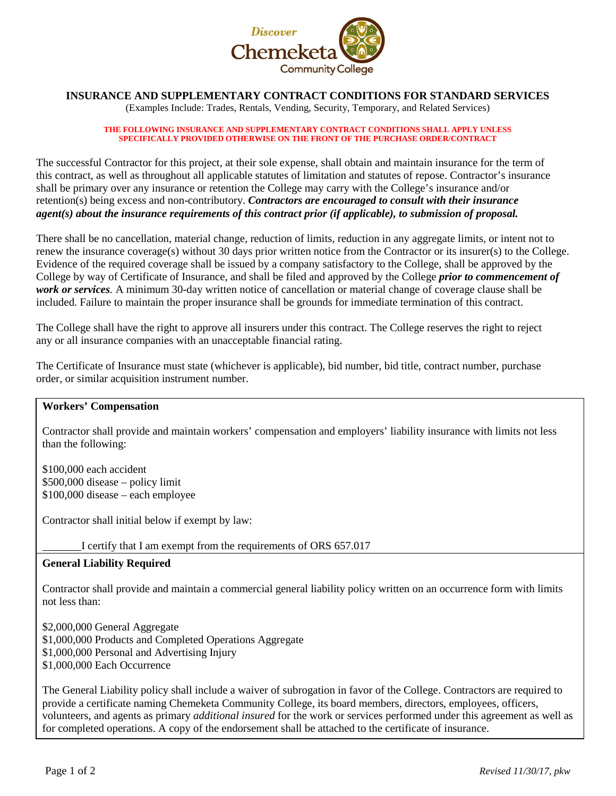

# **INSURANCE AND SUPPLEMENTARY CONTRACT CONDITIONS FOR STANDARD SERVICES**

(Examples Include: Trades, Rentals, Vending, Security, Temporary, and Related Services)

#### **THE FOLLOWING INSURANCE AND SUPPLEMENTARY CONTRACT CONDITIONS SHALL APPLY UNLESS SPECIFICALLY PROVIDED OTHERWISE ON THE FRONT OF THE PURCHASE ORDER/CONTRACT**

The successful Contractor for this project, at their sole expense, shall obtain and maintain insurance for the term of this contract, as well as throughout all applicable statutes of limitation and statutes of repose. Contractor's insurance shall be primary over any insurance or retention the College may carry with the College's insurance and/or retention(s) being excess and non-contributory. *Contractors are encouraged to consult with their insurance agent(s) about the insurance requirements of this contract prior (if applicable), to submission of proposal.*

There shall be no cancellation, material change, reduction of limits, reduction in any aggregate limits, or intent not to renew the insurance coverage(s) without 30 days prior written notice from the Contractor or its insurer(s) to the College. Evidence of the required coverage shall be issued by a company satisfactory to the College, shall be approved by the College by way of Certificate of Insurance, and shall be filed and approved by the College *prior to commencement of work or services.* A minimum 30-day written notice of cancellation or material change of coverage clause shall be included. Failure to maintain the proper insurance shall be grounds for immediate termination of this contract.

The College shall have the right to approve all insurers under this contract. The College reserves the right to reject any or all insurance companies with an unacceptable financial rating.

The Certificate of Insurance must state (whichever is applicable), bid number, bid title, contract number, purchase order, or similar acquisition instrument number.

## **Workers' Compensation**

Contractor shall provide and maintain workers' compensation and employers' liability insurance with limits not less than the following:

\$100,000 each accident \$500,000 disease – policy limit \$100,000 disease – each employee

Contractor shall initial below if exempt by law:

I certify that I am exempt from the requirements of ORS 657.017

## **General Liability Required**

Contractor shall provide and maintain a commercial general liability policy written on an occurrence form with limits not less than:

\$2,000,000 General Aggregate \$1,000,000 Products and Completed Operations Aggregate \$1,000,000 Personal and Advertising Injury \$1,000,000 Each Occurrence

The General Liability policy shall include a waiver of subrogation in favor of the College. Contractors are required to provide a certificate naming Chemeketa Community College, its board members, directors, employees, officers, volunteers, and agents as primary *additional insured* for the work or services performed under this agreement as well as for completed operations. A copy of the endorsement shall be attached to the certificate of insurance.